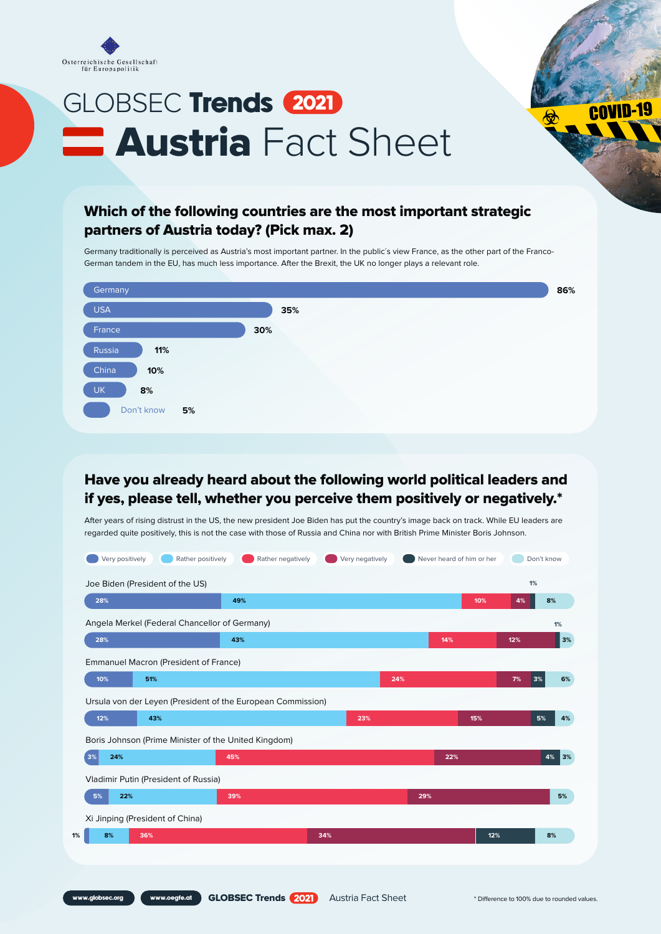

## GLOBSEC Trends 2021 **E Austria** Fact Sheet

## Which of the following countries are the most important strategic partners of Austria today? (Pick max. 2)

Germany traditionally is perceived as Austria's most important partner. In the public´s view France, as the other part of the Franco-German tandem in the EU, has much less importance. After the Brexit, the UK no longer plays a relevant role.



## Have you already heard about the following world political leaders and if yes, please tell, whether you perceive them positively or negatively.\*

After years of rising distrust in the US, the new president Joe Biden has put the country's image back on track. While EU leaders are regarded quite positively, this is not the case with those of Russia and China nor with British Prime Minister Boris Johnson.

|                                                                               | Joe Biden (President of the US)                             |     |     |     | 1%       |          |
|-------------------------------------------------------------------------------|-------------------------------------------------------------|-----|-----|-----|----------|----------|
| 28%                                                                           | 49%                                                         |     |     | 10% | 4%       | 8%       |
|                                                                               | Angela Merkel (Federal Chancellor of Germany)               |     |     |     |          | 1%       |
| 28%                                                                           | 43%                                                         |     | 14% |     | 12%      | 3%       |
| Emmanuel Macron (President of France)                                         |                                                             |     |     |     |          |          |
| 10%<br>51%                                                                    |                                                             |     | 24% |     | 7%<br>3% | 6%       |
|                                                                               | Ursula von der Leyen (President of the European Commission) |     |     |     |          |          |
|                                                                               |                                                             |     |     |     |          | 5%<br>4% |
| 12%<br>43%                                                                    |                                                             | 23% |     | 15% |          |          |
|                                                                               | Boris Johnson (Prime Minister of the United Kingdom)        |     |     |     |          |          |
| 24%                                                                           | 45%                                                         |     | 22% |     |          | 4%       |
|                                                                               |                                                             |     |     |     |          |          |
| 5%<br>22%                                                                     | 39%                                                         |     | 29% |     |          |          |
| 3%<br>Vladimir Putin (President of Russia)<br>Xi Jinping (President of China) |                                                             |     |     |     |          | 3%<br>5% |

**covID-19**